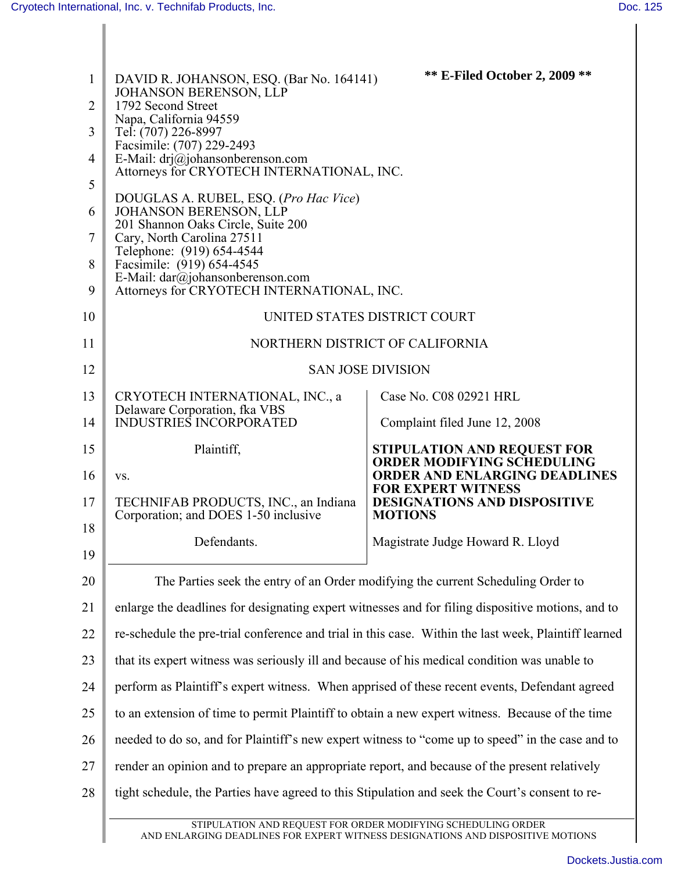| $\mathbf{1}$ | DAVID R. JOHANSON, ESQ. (Bar No. 164141)<br><b>JOHANSON BERENSON, LLP</b>                                                                       | <b>** E-Filed October 2, 2009 **</b>                                    |  |  |
|--------------|-------------------------------------------------------------------------------------------------------------------------------------------------|-------------------------------------------------------------------------|--|--|
| 2            | 1792 Second Street<br>Napa, California 94559                                                                                                    |                                                                         |  |  |
| 3            | Tel: (707) 226-8997                                                                                                                             |                                                                         |  |  |
| 4            | Facsimile: (707) 229-2493<br>E-Mail: drj@johansonberenson.com                                                                                   |                                                                         |  |  |
| 5            | Attorneys for CRYOTECH INTERNATIONAL, INC.                                                                                                      |                                                                         |  |  |
| 6            | DOUGLAS A. RUBEL, ESQ. (Pro Hac Vice)<br>JOHANSON BERENSON, LLP                                                                                 |                                                                         |  |  |
| 7            | 201 Shannon Oaks Circle, Suite 200<br>Cary, North Carolina 27511                                                                                |                                                                         |  |  |
| 8            | Telephone: (919) 654-4544<br>Facsimile: (919) 654-4545                                                                                          |                                                                         |  |  |
| 9            | E-Mail: dar@johansonberenson.com<br>Attorneys for CRYOTECH INTERNATIONAL, INC.                                                                  |                                                                         |  |  |
| 10           | UNITED STATES DISTRICT COURT                                                                                                                    |                                                                         |  |  |
| 11           | NORTHERN DISTRICT OF CALIFORNIA                                                                                                                 |                                                                         |  |  |
| 12           | <b>SAN JOSE DIVISION</b>                                                                                                                        |                                                                         |  |  |
| 13           | CRYOTECH INTERNATIONAL, INC., a<br>Delaware Corporation, fka VBS                                                                                | Case No. C08 02921 HRL                                                  |  |  |
| 14           | <b>INDUSTRIES INCORPORATED</b>                                                                                                                  | Complaint filed June 12, 2008                                           |  |  |
| 15           | Plaintiff,                                                                                                                                      | <b>STIPULATION AND REQUEST FOR</b><br><b>ORDER MODIFYING SCHEDULING</b> |  |  |
| 16           | VS.                                                                                                                                             | <b>ORDER AND ENLARGING DEADLINES</b><br><b>FOR EXPERT WITNESS</b>       |  |  |
| 17           | TECHNIFAB PRODUCTS, INC., an Indiana<br>Corporation; and DOES 1-50 inclusive                                                                    | <b>DESIGNATIONS AND DISPOSITIVE</b><br><b>MOTIONS</b>                   |  |  |
| 18           | Defendants.                                                                                                                                     | Magistrate Judge Howard R. Lloyd                                        |  |  |
| 19           |                                                                                                                                                 |                                                                         |  |  |
| 20           | The Parties seek the entry of an Order modifying the current Scheduling Order to                                                                |                                                                         |  |  |
| 21           | enlarge the deadlines for designating expert witnesses and for filing dispositive motions, and to                                               |                                                                         |  |  |
| 22           | re-schedule the pre-trial conference and trial in this case. Within the last week, Plaintiff learned                                            |                                                                         |  |  |
| 23           | that its expert witness was seriously ill and because of his medical condition was unable to                                                    |                                                                         |  |  |
| 24           | perform as Plaintiff's expert witness. When apprised of these recent events, Defendant agreed                                                   |                                                                         |  |  |
| 25           | to an extension of time to permit Plaintiff to obtain a new expert witness. Because of the time                                                 |                                                                         |  |  |
| 26           | needed to do so, and for Plaintiff's new expert witness to "come up to speed" in the case and to                                                |                                                                         |  |  |
| 27           | render an opinion and to prepare an appropriate report, and because of the present relatively                                                   |                                                                         |  |  |
| 28           | tight schedule, the Parties have agreed to this Stipulation and seek the Court's consent to re-                                                 |                                                                         |  |  |
|              | STIPULATION AND REQUEST FOR ORDER MODIFYING SCHEDULING ORDER<br>AND ENLARGING DEADLINES FOR EXPERT WITNESS DESIGNATIONS AND DISPOSITIVE MOTIONS |                                                                         |  |  |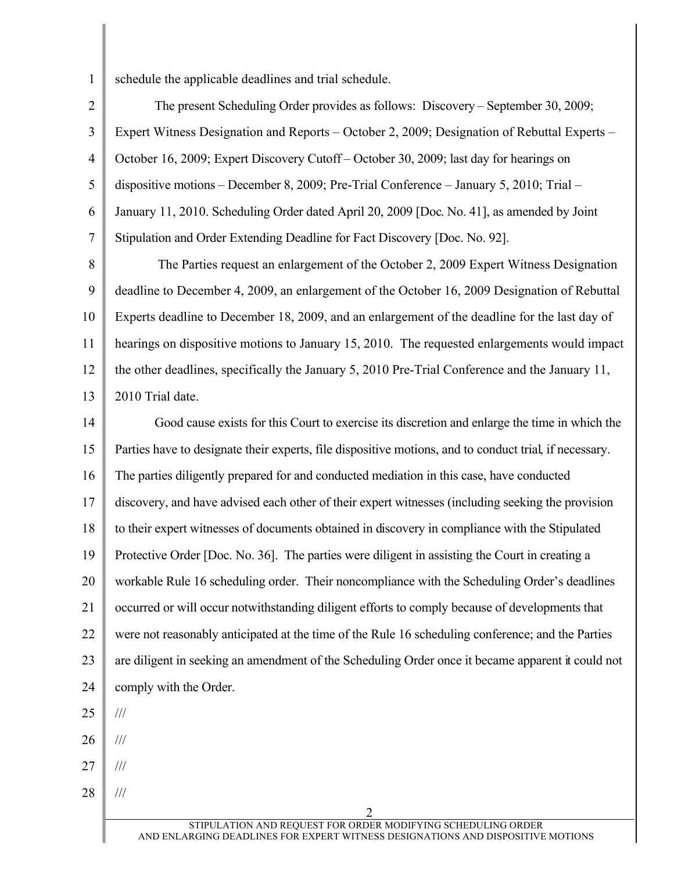1 schedule the applicable deadlines and trial schedule.

2 3 4 5 6 7 The present Scheduling Order provides as follows: Discovery – September 30, 2009; Expert Witness Designation and Reports – October 2, 2009; Designation of Rebuttal Experts – October 16, 2009; Expert Discovery Cutoff – October 30, 2009; last day for hearings on dispositive motions – December 8, 2009; Pre-Trial Conference – January 5, 2010; Trial – January 11, 2010. Scheduling Order dated April 20, 2009 [Doc. No. 41], as amended by Joint Stipulation and Order Extending Deadline for Fact Discovery [Doc. No. 92].

8 9 10 11 12 13 The Parties request an enlargement of the October 2, 2009 Expert Witness Designation deadline to December 4, 2009, an enlargement of the October 16, 2009 Designation of Rebuttal Experts deadline to December 18, 2009, and an enlargement of the deadline for the last day of hearings on dispositive motions to January 15, 2010. The requested enlargements would impact the other deadlines, specifically the January 5, 2010 Pre-Trial Conference and the January 11, 2010 Trial date.

14 15 16 17 18 19 20 21 22 23 24 Good cause exists for this Court to exercise its discretion and enlarge the time in which the Parties have to designate their experts, file dispositive motions, and to conduct trial, if necessary. The parties diligently prepared for and conducted mediation in this case, have conducted discovery, and have advised each other of their expert witnesses (including seeking the provision to their expert witnesses of documents obtained in discovery in compliance with the Stipulated Protective Order [Doc. No. 36]. The parties were diligent in assisting the Court in creating a workable Rule 16 scheduling order. Their noncompliance with the Scheduling Order's deadlines occurred or will occur notwithstanding diligent efforts to comply because of developments that were not reasonably anticipated at the time of the Rule 16 scheduling conference; and the Parties are diligent in seeking an amendment of the Scheduling Order once it became apparent it could not comply with the Order. ///

25

26

///

27 ///

28 ///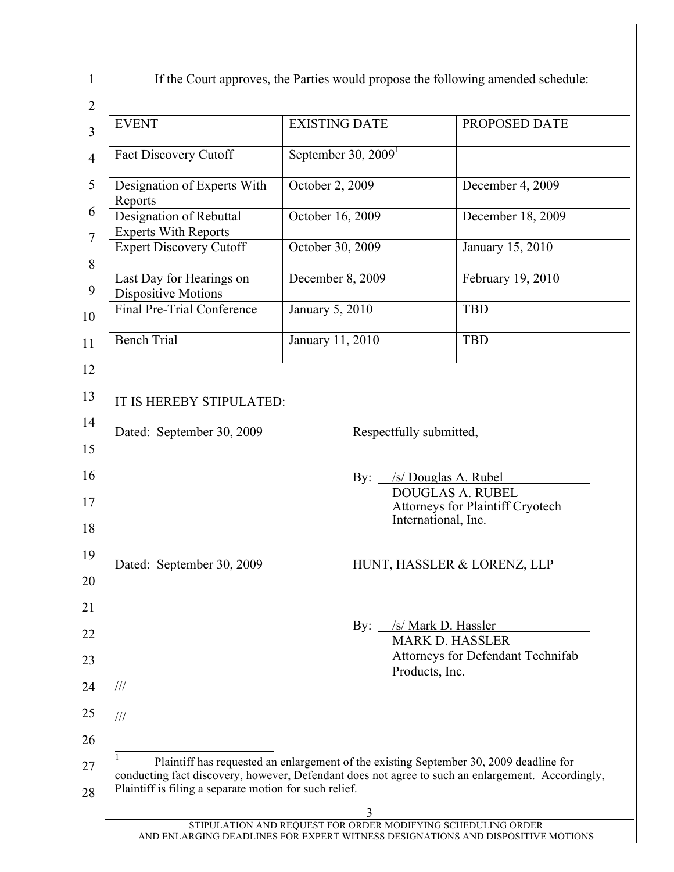If the Court approves, the Parties would propose the following amended schedule:

| <b>EVENT</b>                                                                                                                                                | <b>EXISTING DATE</b>                                                                   | PROPOSED DATE                                                                                                                                                                                            |
|-------------------------------------------------------------------------------------------------------------------------------------------------------------|----------------------------------------------------------------------------------------|----------------------------------------------------------------------------------------------------------------------------------------------------------------------------------------------------------|
| <b>Fact Discovery Cutoff</b>                                                                                                                                | September 30, $20091$                                                                  |                                                                                                                                                                                                          |
| Designation of Experts With<br>Reports                                                                                                                      | October 2, 2009                                                                        | December 4, 2009                                                                                                                                                                                         |
| Designation of Rebuttal<br><b>Experts With Reports</b>                                                                                                      | October 16, 2009                                                                       | December 18, 2009                                                                                                                                                                                        |
| <b>Expert Discovery Cutoff</b>                                                                                                                              | October 30, 2009                                                                       | January 15, 2010                                                                                                                                                                                         |
| Last Day for Hearings on<br><b>Dispositive Motions</b>                                                                                                      | December 8, 2009                                                                       | February 19, 2010                                                                                                                                                                                        |
| Final Pre-Trial Conference                                                                                                                                  | January 5, 2010                                                                        | <b>TBD</b>                                                                                                                                                                                               |
| <b>Bench Trial</b>                                                                                                                                          | January 11, 2010                                                                       | <b>TBD</b>                                                                                                                                                                                               |
| Dated: September 30, 2009                                                                                                                                   | By: $\overline{\phantom{a}}$<br>By: /s/ Mark D. Hassler<br>Products, Inc.              | /s/ Douglas A. Rubel<br><b>DOUGLAS A. RUBEL</b><br>Attorneys for Plaintiff Cryotech<br>International, Inc.<br>HUNT, HASSLER & LORENZ, LLP<br><b>MARK D. HASSLER</b><br>Attorneys for Defendant Technifab |
| $\frac{1}{1}$                                                                                                                                               |                                                                                        |                                                                                                                                                                                                          |
| $\frac{1}{1}$                                                                                                                                               |                                                                                        |                                                                                                                                                                                                          |
| conducting fact discovery, however, Defendant does not agree to such an enlargement. Accordingly,<br>Plaintiff is filing a separate motion for such relief. | Plaintiff has requested an enlargement of the existing September 30, 2009 deadline for |                                                                                                                                                                                                          |
|                                                                                                                                                             |                                                                                        |                                                                                                                                                                                                          |

1  $\overline{2}$